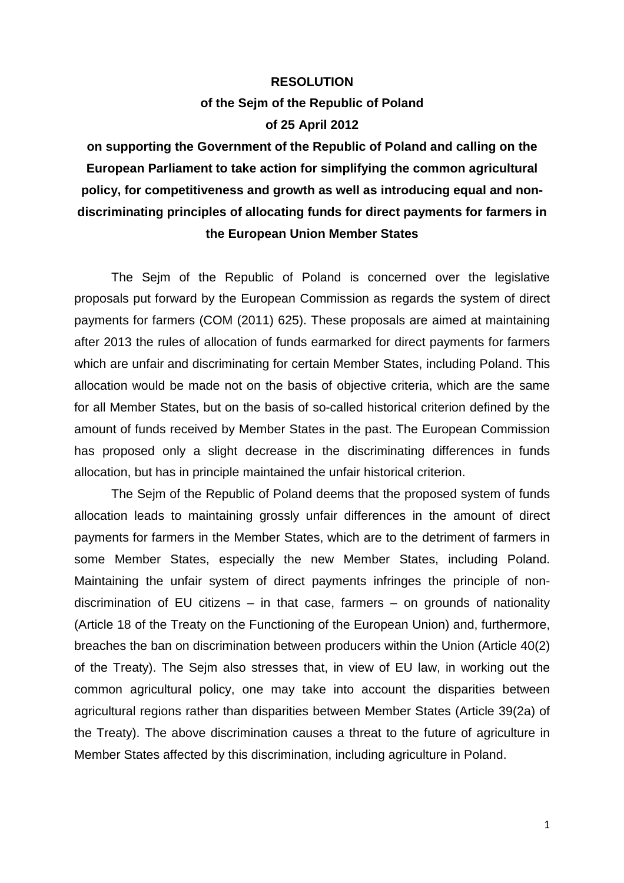## **RESOLUTION of the Sejm of the Republic of Poland of 25 April 2012**

**on supporting the Government of the Republic of Poland and calling on the European Parliament to take action for simplifying the common agricultural policy, for competitiveness and growth as well as introducing equal and nondiscriminating principles of allocating funds for direct payments for farmers in the European Union Member States** 

The Sejm of the Republic of Poland is concerned over the legislative proposals put forward by the European Commission as regards the system of direct payments for farmers (COM (2011) 625). These proposals are aimed at maintaining after 2013 the rules of allocation of funds earmarked for direct payments for farmers which are unfair and discriminating for certain Member States, including Poland. This allocation would be made not on the basis of objective criteria, which are the same for all Member States, but on the basis of so-called historical criterion defined by the amount of funds received by Member States in the past. The European Commission has proposed only a slight decrease in the discriminating differences in funds allocation, but has in principle maintained the unfair historical criterion.

The Sejm of the Republic of Poland deems that the proposed system of funds allocation leads to maintaining grossly unfair differences in the amount of direct payments for farmers in the Member States, which are to the detriment of farmers in some Member States, especially the new Member States, including Poland. Maintaining the unfair system of direct payments infringes the principle of nondiscrimination of EU citizens – in that case, farmers – on grounds of nationality (Article 18 of the Treaty on the Functioning of the European Union) and, furthermore, breaches the ban on discrimination between producers within the Union (Article 40(2) of the Treaty). The Sejm also stresses that, in view of EU law, in working out the common agricultural policy, one may take into account the disparities between agricultural regions rather than disparities between Member States (Article 39(2a) of the Treaty). The above discrimination causes a threat to the future of agriculture in Member States affected by this discrimination, including agriculture in Poland.